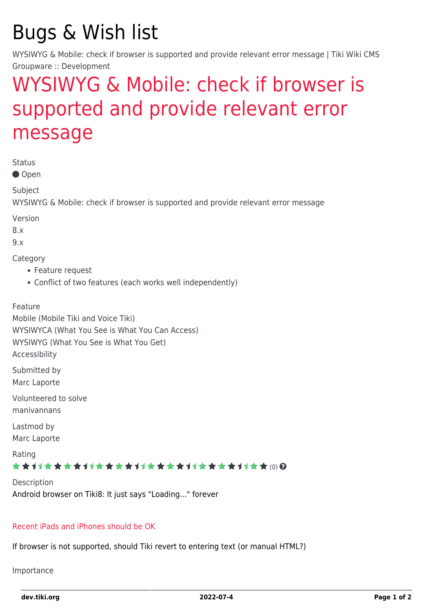# Bugs & Wish list

WYSIWYG & Mobile: check if browser is supported and provide relevant error message | Tiki Wiki CMS Groupware :: Development

## [WYSIWYG & Mobile: check if browser is](https://dev.tiki.org/item4168-WYSIWYG-Mobile-check-if-browser-is-supported-and-provide-relevant-error-message) [supported and provide relevant error](https://dev.tiki.org/item4168-WYSIWYG-Mobile-check-if-browser-is-supported-and-provide-relevant-error-message) [message](https://dev.tiki.org/item4168-WYSIWYG-Mobile-check-if-browser-is-supported-and-provide-relevant-error-message)

Status

● Open

Subject

WYSIWYG & Mobile: check if browser is supported and provide relevant error message

Version

8.x

9.x

**Category** 

- Feature request
- Conflict of two features (each works well independently)

Feature

Mobile (Mobile Tiki and Voice Tiki) WYSIWYCA (What You See is What You Can Access) WYSIWYG (What You See is What You Get) Accessibility

Submitted by Marc Laporte

Volunteered to solve manivannans

Lastmod by Marc Laporte

Rating

\*\*\*\*\*\*\*\*\*\*\*\*\*\*\*\*\*\*\*\*\*\*\*\*\*\*\*\*\*\*

**Description** Android browser on Tiki8: It just says "Loading..." forever

#### [Recent iPads and iPhones should be OK](http://cksource.com/blog/CKEditor_3.6.2_released)

If browser is not supported, should Tiki revert to entering text (or manual HTML?)

Importance